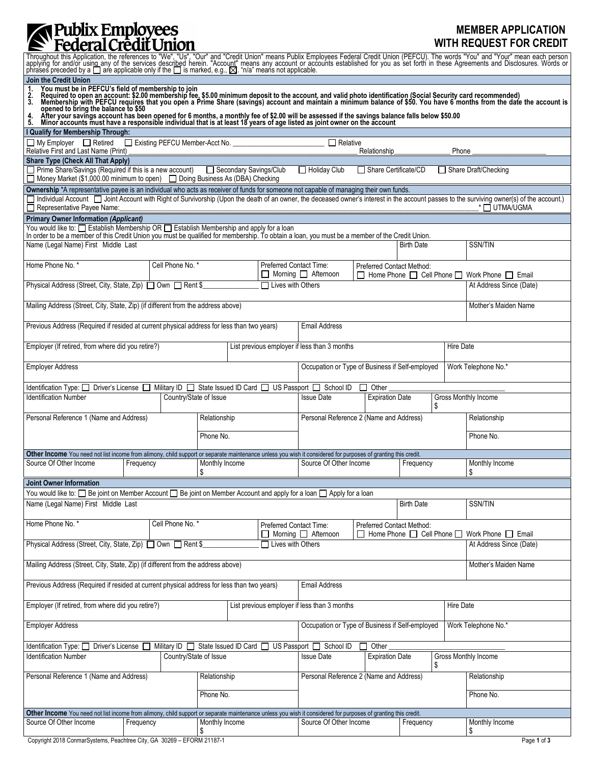## **MEMBER APPLICATION WITH REQUEST FOR CREDIT**

| Throughout this Application, the references to "We", "Us", "Our" and "Credit Union" means Publix Employees Federal Credit Union (PEFCU). The words "You" and "Your" mean each person applying for and/or using any of the ser                                                                                                                                                                |                                     |                                    |                      |  |                          |                                                                                                                                                               |           |       |                      |                                                |                                              |  |  |
|----------------------------------------------------------------------------------------------------------------------------------------------------------------------------------------------------------------------------------------------------------------------------------------------------------------------------------------------------------------------------------------------|-------------------------------------|------------------------------------|----------------------|--|--------------------------|---------------------------------------------------------------------------------------------------------------------------------------------------------------|-----------|-------|----------------------|------------------------------------------------|----------------------------------------------|--|--|
| Join the Credit Union<br>You must be in PEFCU's field of membership to join<br>Required to open an account: \$2.00 membership fee, \$5.00 minimum deposit to the account, and valid photo identification (Social Security card recommended)<br>Membership with<br>1.<br>$\frac{2}{3}$                                                                                                        |                                     |                                    |                      |  |                          |                                                                                                                                                               |           |       |                      |                                                |                                              |  |  |
| opened to bring the balance to \$50<br>After your savings account has been opened for 6 months, a monthly fee of \$2.00 will be assessed if the savings balance falls below \$50.00<br>4.<br>5.<br>Minor accounts must have a responsible individual that is at least 18 years of age listed as joint owner on the account                                                                   |                                     |                                    |                      |  |                          |                                                                                                                                                               |           |       |                      |                                                |                                              |  |  |
| I Qualify for Membership Through:                                                                                                                                                                                                                                                                                                                                                            |                                     |                                    |                      |  |                          |                                                                                                                                                               |           |       |                      |                                                |                                              |  |  |
| □ My Employer □ Retired □ Existing PEFCU Member-Acct No. ______________________<br>$\Box$ Relative<br>Relative First and Last Name (Print)<br>Phone<br>Relationship                                                                                                                                                                                                                          |                                     |                                    |                      |  |                          |                                                                                                                                                               |           |       |                      |                                                |                                              |  |  |
| <b>Share Type (Check All That Apply)</b>                                                                                                                                                                                                                                                                                                                                                     |                                     |                                    |                      |  |                          |                                                                                                                                                               |           |       |                      |                                                |                                              |  |  |
| □ Prime Share/Savings (Required if this is a new account) □ Secondary Savings/Club<br>$\Box$ Holiday Club<br>□ Share Certificate/CD<br>□ Share Draft/Checking<br>□ Money Market (\$1,000.00 minimum to open) □ Doing Business As (DBA) Checking                                                                                                                                              |                                     |                                    |                      |  |                          |                                                                                                                                                               |           |       |                      |                                                |                                              |  |  |
| Ownership *A representative payee is an individual who acts as receiver of funds for someone not capable of managing their own funds.<br>Individual Account   Joint Account with Right of Survivorship (Upon the death of an owner, the deceased owner's interest in the account passes to the surviving owner(s) of the account.)<br>Representative Payee Name:<br><sup>*</sup> □ UTMA/UGMA |                                     |                                    |                      |  |                          |                                                                                                                                                               |           |       |                      |                                                |                                              |  |  |
| <b>Primary Owner Information (Applicant)</b><br>You would like to: $\Box$ Establish Membership OR $\Box$ Establish Membership and apply for a loan<br>In order to be a member of this Credit Union you must be qualified for membership. To obtain a loan, you must be a member of the Credit Union.                                                                                         |                                     |                                    |                      |  |                          |                                                                                                                                                               |           |       |                      |                                                |                                              |  |  |
| Name (Legal Name) First Middle Last                                                                                                                                                                                                                                                                                                                                                          |                                     |                                    |                      |  |                          |                                                                                                                                                               |           |       | <b>Birth Date</b>    |                                                | SSN/TIN                                      |  |  |
|                                                                                                                                                                                                                                                                                                                                                                                              |                                     |                                    |                      |  |                          |                                                                                                                                                               |           |       |                      |                                                |                                              |  |  |
| Home Phone No. *                                                                                                                                                                                                                                                                                                                                                                             | Cell Phone No. *                    |                                    |                      |  | Preferred Contact Time:  | <b>Preferred Contact Method:</b><br>$\Box$ Morning $\Box$ Afternoon                                                                                           |           |       |                      | □ Home Phone □ Cell Phone □ Work Phone □ Email |                                              |  |  |
| Physical Address (Street, City, State, Zip) □ Own □ Rent \$                                                                                                                                                                                                                                                                                                                                  |                                     |                                    |                      |  | $\Box$ Lives with Others |                                                                                                                                                               |           |       |                      |                                                | At Address Since (Date)                      |  |  |
| Mailing Address (Street, City, State, Zip) (if different from the address above)                                                                                                                                                                                                                                                                                                             |                                     |                                    |                      |  |                          |                                                                                                                                                               |           |       | Mother's Maiden Name |                                                |                                              |  |  |
| Previous Address (Required if resided at current physical address for less than two years)                                                                                                                                                                                                                                                                                                   |                                     |                                    |                      |  |                          | <b>Email Address</b>                                                                                                                                          |           |       |                      |                                                |                                              |  |  |
| Employer (If retired, from where did you retire?)                                                                                                                                                                                                                                                                                                                                            |                                     |                                    |                      |  |                          | List previous employer if less than 3 months                                                                                                                  |           |       |                      |                                                | Hire Date                                    |  |  |
| Occupation or Type of Business if Self-employed<br><b>Employer Address</b><br>Work Telephone No.*                                                                                                                                                                                                                                                                                            |                                     |                                    |                      |  |                          |                                                                                                                                                               |           |       |                      |                                                |                                              |  |  |
| Driver's License [<br>Identification Type: $\Box$                                                                                                                                                                                                                                                                                                                                            |                                     | Military ID   State Issued ID Card |                      |  |                          | US Passport $\Box$ School ID                                                                                                                                  |           | Other |                      |                                                |                                              |  |  |
| <b>Identification Number</b><br>Country/State of Issue                                                                                                                                                                                                                                                                                                                                       |                                     |                                    |                      |  |                          | <b>Expiration Date</b><br><b>Issue Date</b><br>\$                                                                                                             |           |       |                      |                                                | Gross Monthly Income                         |  |  |
| Personal Reference 1 (Name and Address)                                                                                                                                                                                                                                                                                                                                                      |                                     |                                    | Relationship         |  |                          | Personal Reference 2 (Name and Address)                                                                                                                       |           |       |                      |                                                | Relationship                                 |  |  |
|                                                                                                                                                                                                                                                                                                                                                                                              |                                     |                                    | Phone No.            |  |                          |                                                                                                                                                               |           |       |                      |                                                | Phone No.                                    |  |  |
|                                                                                                                                                                                                                                                                                                                                                                                              |                                     |                                    |                      |  |                          | Other Income You need not list income from alimony, child support or separate maintenance unless you wish it considered for purposes of granting this credit. |           |       |                      |                                                |                                              |  |  |
|                                                                                                                                                                                                                                                                                                                                                                                              | Source Of Other Income<br>Frequency |                                    | Monthly Income<br>\$ |  |                          | Source Of Other Income                                                                                                                                        |           |       | Frequency            |                                                | Monthly Income<br>\$                         |  |  |
| <b>Joint Owner Information</b><br>You would like to: $\Box$ Be joint on Member Account $\Box$ Be joint on Member Account and apply for a loan $\Box$ Apply for a loan                                                                                                                                                                                                                        |                                     |                                    |                      |  |                          |                                                                                                                                                               |           |       |                      |                                                |                                              |  |  |
| Name (Legal Name) First Middle Last                                                                                                                                                                                                                                                                                                                                                          |                                     |                                    |                      |  |                          | <b>Birth Date</b>                                                                                                                                             |           |       |                      |                                                | SSN/TIN                                      |  |  |
| Home Phone No. *                                                                                                                                                                                                                                                                                                                                                                             |                                     |                                    |                      |  | Preferred Contact Time:  | Preferred Contact Method:                                                                                                                                     |           |       |                      |                                                |                                              |  |  |
| Cell Phone No. *                                                                                                                                                                                                                                                                                                                                                                             |                                     |                                    |                      |  |                          | □ Morning □ Afternoon                                                                                                                                         |           |       |                      |                                                | Home Phone □ Cell Phone □ Work Phone □ Email |  |  |
| Physical Address (Street, City, State, Zip) □ Own □ Rent \$<br>$\Box$ Lives with Others<br>At Address Since (Date)                                                                                                                                                                                                                                                                           |                                     |                                    |                      |  |                          |                                                                                                                                                               |           |       |                      |                                                |                                              |  |  |
| Mailing Address (Street, City, State, Zip) (if different from the address above)                                                                                                                                                                                                                                                                                                             |                                     |                                    |                      |  |                          | Mother's Maiden Name                                                                                                                                          |           |       |                      |                                                |                                              |  |  |
| Previous Address (Required if resided at current physical address for less than two years)                                                                                                                                                                                                                                                                                                   |                                     |                                    |                      |  |                          | <b>Email Address</b>                                                                                                                                          |           |       |                      |                                                |                                              |  |  |
| Employer (If retired, from where did you retire?)<br>List previous employer if less than 3 months                                                                                                                                                                                                                                                                                            |                                     |                                    |                      |  |                          | Hire Date                                                                                                                                                     |           |       |                      |                                                |                                              |  |  |
| <b>Employer Address</b>                                                                                                                                                                                                                                                                                                                                                                      |                                     |                                    |                      |  |                          | Occupation or Type of Business if Self-employed<br>Work Telephone No.*                                                                                        |           |       |                      |                                                |                                              |  |  |
| Identification Type: □<br>Driver's License<br>State Issued ID Card<br>Military ID $\Box$                                                                                                                                                                                                                                                                                                     |                                     |                                    |                      |  |                          | US Passport $\Box$ School ID<br>Other                                                                                                                         |           |       |                      |                                                |                                              |  |  |
| Country/State of Issue<br><b>Identification Number</b>                                                                                                                                                                                                                                                                                                                                       |                                     |                                    |                      |  |                          | <b>Issue Date</b><br><b>Expiration Date</b>                                                                                                                   |           |       | \$                   |                                                | Gross Monthly Income                         |  |  |
| Personal Reference 1 (Name and Address)                                                                                                                                                                                                                                                                                                                                                      |                                     |                                    | Relationship         |  |                          | Personal Reference 2 (Name and Address)                                                                                                                       |           |       |                      |                                                | Relationship                                 |  |  |
|                                                                                                                                                                                                                                                                                                                                                                                              |                                     |                                    | Phone No.            |  |                          |                                                                                                                                                               |           |       |                      |                                                | Phone No.                                    |  |  |
| Other Income You need not list income from alimony, child support or separate maintenance unless you wish it considered for purposes of granting this credit.                                                                                                                                                                                                                                |                                     |                                    |                      |  |                          |                                                                                                                                                               |           |       |                      |                                                |                                              |  |  |
| Source Of Other Income<br>Frequency                                                                                                                                                                                                                                                                                                                                                          |                                     | Monthly Income<br>\$               |                      |  | Source Of Other Income   |                                                                                                                                                               | Frequency |       | Monthly Income<br>\$ |                                                |                                              |  |  |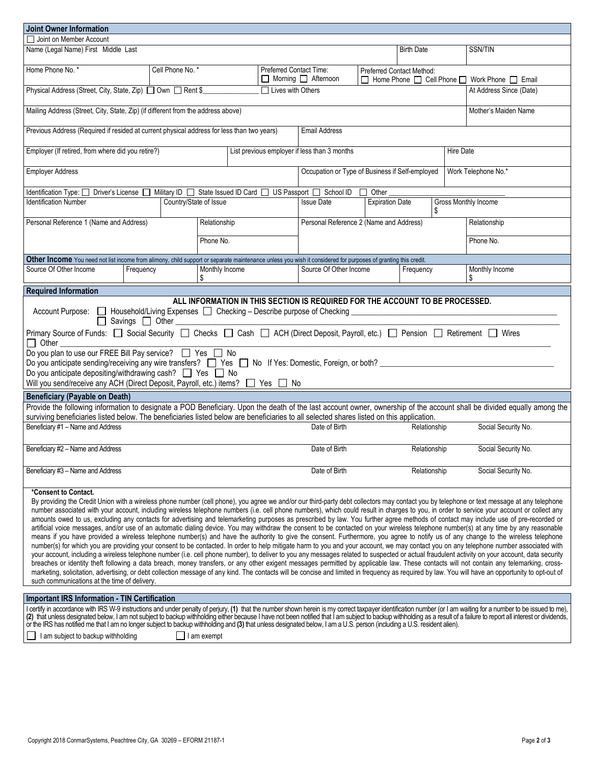| <b>Joint Owner Information</b>                                                                                                                                                                                                                                                                                                                                                                                                                                                                                                                                                                                                                                                                                                                                                                                                                                                                                                                                                                                                                                                                                                                                                                                                                                                                                                                                                                                                                                                                                                                                                                                                                                                                                                                                                                                                     |                                                           |                                             |                      |                      |                                                                                                                            |              |                              |                     |                      |  |
|------------------------------------------------------------------------------------------------------------------------------------------------------------------------------------------------------------------------------------------------------------------------------------------------------------------------------------------------------------------------------------------------------------------------------------------------------------------------------------------------------------------------------------------------------------------------------------------------------------------------------------------------------------------------------------------------------------------------------------------------------------------------------------------------------------------------------------------------------------------------------------------------------------------------------------------------------------------------------------------------------------------------------------------------------------------------------------------------------------------------------------------------------------------------------------------------------------------------------------------------------------------------------------------------------------------------------------------------------------------------------------------------------------------------------------------------------------------------------------------------------------------------------------------------------------------------------------------------------------------------------------------------------------------------------------------------------------------------------------------------------------------------------------------------------------------------------------|-----------------------------------------------------------|---------------------------------------------|----------------------|----------------------|----------------------------------------------------------------------------------------------------------------------------|--------------|------------------------------|---------------------|----------------------|--|
| □ Joint on Member Account                                                                                                                                                                                                                                                                                                                                                                                                                                                                                                                                                                                                                                                                                                                                                                                                                                                                                                                                                                                                                                                                                                                                                                                                                                                                                                                                                                                                                                                                                                                                                                                                                                                                                                                                                                                                          |                                                           |                                             |                      |                      |                                                                                                                            |              |                              |                     |                      |  |
|                                                                                                                                                                                                                                                                                                                                                                                                                                                                                                                                                                                                                                                                                                                                                                                                                                                                                                                                                                                                                                                                                                                                                                                                                                                                                                                                                                                                                                                                                                                                                                                                                                                                                                                                                                                                                                    | Name (Legal Name) First Middle Last                       |                                             |                      |                      |                                                                                                                            |              |                              | <b>SSN/TIN</b>      |                      |  |
| Home Phone No. *                                                                                                                                                                                                                                                                                                                                                                                                                                                                                                                                                                                                                                                                                                                                                                                                                                                                                                                                                                                                                                                                                                                                                                                                                                                                                                                                                                                                                                                                                                                                                                                                                                                                                                                                                                                                                   |                                                           | Cell Phone No. *<br>Preferred Contact Time: |                      |                      | <b>Preferred Contact Method:</b><br>$\Box$ Morning $\Box$ Afternoon<br>□ Home Phone □ Cell Phone □ Work Phone □ Email      |              |                              |                     |                      |  |
| Physical Address (Street, City, State, Zip) □ Own □ Rent \$                                                                                                                                                                                                                                                                                                                                                                                                                                                                                                                                                                                                                                                                                                                                                                                                                                                                                                                                                                                                                                                                                                                                                                                                                                                                                                                                                                                                                                                                                                                                                                                                                                                                                                                                                                        | $\Box$ Lives with Others                                  |                                             |                      |                      | At Address Since (Date)                                                                                                    |              |                              |                     |                      |  |
| Mailing Address (Street, City, State, Zip) (if different from the address above)                                                                                                                                                                                                                                                                                                                                                                                                                                                                                                                                                                                                                                                                                                                                                                                                                                                                                                                                                                                                                                                                                                                                                                                                                                                                                                                                                                                                                                                                                                                                                                                                                                                                                                                                                   |                                                           |                                             |                      | Mother's Maiden Name |                                                                                                                            |              |                              |                     |                      |  |
| Previous Address (Required if resided at current physical address for less than two years)                                                                                                                                                                                                                                                                                                                                                                                                                                                                                                                                                                                                                                                                                                                                                                                                                                                                                                                                                                                                                                                                                                                                                                                                                                                                                                                                                                                                                                                                                                                                                                                                                                                                                                                                         | <b>Email Address</b>                                      |                                             |                      |                      |                                                                                                                            |              |                              |                     |                      |  |
| Employer (If retired, from where did you retire?)                                                                                                                                                                                                                                                                                                                                                                                                                                                                                                                                                                                                                                                                                                                                                                                                                                                                                                                                                                                                                                                                                                                                                                                                                                                                                                                                                                                                                                                                                                                                                                                                                                                                                                                                                                                  | List previous employer if less than 3 months<br>Hire Date |                                             |                      |                      |                                                                                                                            |              |                              |                     |                      |  |
| <b>Employer Address</b>                                                                                                                                                                                                                                                                                                                                                                                                                                                                                                                                                                                                                                                                                                                                                                                                                                                                                                                                                                                                                                                                                                                                                                                                                                                                                                                                                                                                                                                                                                                                                                                                                                                                                                                                                                                                            | Occupation or Type of Business if Self-employed           | Work Telephone No.*                         |                      |                      |                                                                                                                            |              |                              |                     |                      |  |
|                                                                                                                                                                                                                                                                                                                                                                                                                                                                                                                                                                                                                                                                                                                                                                                                                                                                                                                                                                                                                                                                                                                                                                                                                                                                                                                                                                                                                                                                                                                                                                                                                                                                                                                                                                                                                                    |                                                           |                                             |                      |                      | Identification Type: [ ] Driver's License [ ] Military ID [ ] State Issued ID Card [ ] US Passport [ ] School ID [ ] Other |              |                              |                     |                      |  |
| <b>Identification Number</b><br>Country/State of Issue                                                                                                                                                                                                                                                                                                                                                                                                                                                                                                                                                                                                                                                                                                                                                                                                                                                                                                                                                                                                                                                                                                                                                                                                                                                                                                                                                                                                                                                                                                                                                                                                                                                                                                                                                                             |                                                           |                                             |                      |                      | <b>Issue Date</b>                                                                                                          |              | <b>Expiration Date</b><br>\$ |                     | Gross Monthly Income |  |
| Personal Reference 1 (Name and Address)                                                                                                                                                                                                                                                                                                                                                                                                                                                                                                                                                                                                                                                                                                                                                                                                                                                                                                                                                                                                                                                                                                                                                                                                                                                                                                                                                                                                                                                                                                                                                                                                                                                                                                                                                                                            |                                                           |                                             | Relationship         |                      | Personal Reference 2 (Name and Address)                                                                                    |              |                              |                     | Relationship         |  |
|                                                                                                                                                                                                                                                                                                                                                                                                                                                                                                                                                                                                                                                                                                                                                                                                                                                                                                                                                                                                                                                                                                                                                                                                                                                                                                                                                                                                                                                                                                                                                                                                                                                                                                                                                                                                                                    |                                                           |                                             | Phone No.            |                      |                                                                                                                            |              |                              |                     | Phone No.            |  |
| Other Income You need not list income from alimony, child support or separate maintenance unless you wish it considered for purposes of granting this credit.                                                                                                                                                                                                                                                                                                                                                                                                                                                                                                                                                                                                                                                                                                                                                                                                                                                                                                                                                                                                                                                                                                                                                                                                                                                                                                                                                                                                                                                                                                                                                                                                                                                                      |                                                           |                                             |                      |                      |                                                                                                                            |              |                              |                     |                      |  |
| Source Of Other Income                                                                                                                                                                                                                                                                                                                                                                                                                                                                                                                                                                                                                                                                                                                                                                                                                                                                                                                                                                                                                                                                                                                                                                                                                                                                                                                                                                                                                                                                                                                                                                                                                                                                                                                                                                                                             | Frequency                                                 |                                             | Monthly Income<br>\$ |                      | Source Of Other Income                                                                                                     |              | Frequency                    |                     | Monthly Income<br>\$ |  |
| <b>Required Information</b>                                                                                                                                                                                                                                                                                                                                                                                                                                                                                                                                                                                                                                                                                                                                                                                                                                                                                                                                                                                                                                                                                                                                                                                                                                                                                                                                                                                                                                                                                                                                                                                                                                                                                                                                                                                                        |                                                           |                                             |                      |                      |                                                                                                                            |              |                              |                     |                      |  |
| ALL INFORMATION IN THIS SECTION IS REQUIRED FOR THE ACCOUNT TO BE PROCESSED.<br>Account Purpose: □ Household/Living Expenses □ Checking – Describe purpose of Checking _<br>Savings $\Box$ Other                                                                                                                                                                                                                                                                                                                                                                                                                                                                                                                                                                                                                                                                                                                                                                                                                                                                                                                                                                                                                                                                                                                                                                                                                                                                                                                                                                                                                                                                                                                                                                                                                                   |                                                           |                                             |                      |                      |                                                                                                                            |              |                              |                     |                      |  |
| Primary Source of Funds: □ Social Security □ Checks □ Cash □ ACH (Direct Deposit, Payroll, etc.) □ Pension □ Retirement □ Wires<br>$\Box$ Other                                                                                                                                                                                                                                                                                                                                                                                                                                                                                                                                                                                                                                                                                                                                                                                                                                                                                                                                                                                                                                                                                                                                                                                                                                                                                                                                                                                                                                                                                                                                                                                                                                                                                    |                                                           |                                             |                      |                      |                                                                                                                            |              |                              |                     |                      |  |
| Do you plan to use our FREE Bill Pay service? $\Box$ Yes $\Box$ No<br>Do you anticipate sending/receiving any wire transfers? □ Yes □ No If Yes: Domestic, Foreign, or both? □<br>Do you anticipate depositing/withdrawing cash? □ Yes □ No<br>Will you send/receive any ACH (Direct Deposit, Payroll, etc.) items?<br>No                                                                                                                                                                                                                                                                                                                                                                                                                                                                                                                                                                                                                                                                                                                                                                                                                                                                                                                                                                                                                                                                                                                                                                                                                                                                                                                                                                                                                                                                                                          |                                                           |                                             |                      |                      |                                                                                                                            |              |                              |                     |                      |  |
|                                                                                                                                                                                                                                                                                                                                                                                                                                                                                                                                                                                                                                                                                                                                                                                                                                                                                                                                                                                                                                                                                                                                                                                                                                                                                                                                                                                                                                                                                                                                                                                                                                                                                                                                                                                                                                    |                                                           |                                             |                      |                      |                                                                                                                            |              |                              |                     |                      |  |
| <b>Beneficiary (Payable on Death)</b><br>Provide the following information to designate a POD Beneficiary. Upon the death of the last account owner, ownership of the account shall be divided equally among the<br>surviving beneficiaries listed below. The beneficiaries listed below are beneficiaries to all selected shares listed on this application.                                                                                                                                                                                                                                                                                                                                                                                                                                                                                                                                                                                                                                                                                                                                                                                                                                                                                                                                                                                                                                                                                                                                                                                                                                                                                                                                                                                                                                                                      |                                                           |                                             |                      |                      |                                                                                                                            |              |                              |                     |                      |  |
|                                                                                                                                                                                                                                                                                                                                                                                                                                                                                                                                                                                                                                                                                                                                                                                                                                                                                                                                                                                                                                                                                                                                                                                                                                                                                                                                                                                                                                                                                                                                                                                                                                                                                                                                                                                                                                    |                                                           |                                             |                      |                      | Date of Birth                                                                                                              |              | Relationship                 |                     | Social Security No.  |  |
| Beneficiary #1 - Name and Address                                                                                                                                                                                                                                                                                                                                                                                                                                                                                                                                                                                                                                                                                                                                                                                                                                                                                                                                                                                                                                                                                                                                                                                                                                                                                                                                                                                                                                                                                                                                                                                                                                                                                                                                                                                                  |                                                           |                                             |                      |                      |                                                                                                                            |              |                              |                     |                      |  |
| Beneficiary #2 - Name and Address                                                                                                                                                                                                                                                                                                                                                                                                                                                                                                                                                                                                                                                                                                                                                                                                                                                                                                                                                                                                                                                                                                                                                                                                                                                                                                                                                                                                                                                                                                                                                                                                                                                                                                                                                                                                  |                                                           |                                             |                      |                      | Date of Birth                                                                                                              | Relationship |                              | Social Security No. |                      |  |
| Beneficiary #3 - Name and Address                                                                                                                                                                                                                                                                                                                                                                                                                                                                                                                                                                                                                                                                                                                                                                                                                                                                                                                                                                                                                                                                                                                                                                                                                                                                                                                                                                                                                                                                                                                                                                                                                                                                                                                                                                                                  |                                                           |                                             |                      |                      | Date of Birth                                                                                                              |              | Relationship                 |                     | Social Security No.  |  |
| *Consent to Contact.<br>By providing the Credit Union with a wireless phone number (cell phone), you agree we and/or our third-party debt collectors may contact you by telephone or text message at any telephone<br>number associated with your account, including wireless telephone numbers (i.e. cell phone numbers), which could result in charges to you, in order to service your account or collect any<br>amounts owed to us, excluding any contacts for advertising and telemarketing purposes as prescribed by law. You further agree methods of contact may include use of pre-recorded or<br>artificial voice messages, and/or use of an automatic dialing device. You may withdraw the consent to be contacted on your wireless telephone number(s) at any time by any reasonable<br>means if you have provided a wireless telephone number(s) and have the authority to give the consent. Furthermore, you agree to notify us of any change to the wireless telephone<br>number(s) for which you are providing your consent to be contacted. In order to help mitigate harm to you and your account, we may contact you on any telephone number associated with<br>your account, including a wireless telephone number (i.e. cell phone number), to deliver to you any messages related to suspected or actual fraudulent activity on your account, data security<br>breaches or identity theft following a data breach, money transfers, or any other exigent messages permitted by applicable law. These contacts will not contain any telemarking, cross-<br>marketing, solicitation, advertising, or debt collection message of any kind. The contacts will be concise and limited in frequency as required by law. You will have an opportunity to opt-out of<br>such communications at the time of delivery. |                                                           |                                             |                      |                      |                                                                                                                            |              |                              |                     |                      |  |
| <b>Important IRS Information - TIN Certification</b>                                                                                                                                                                                                                                                                                                                                                                                                                                                                                                                                                                                                                                                                                                                                                                                                                                                                                                                                                                                                                                                                                                                                                                                                                                                                                                                                                                                                                                                                                                                                                                                                                                                                                                                                                                               |                                                           |                                             |                      |                      |                                                                                                                            |              |                              |                     |                      |  |
| certify in accordance with IRS W-9 instructions and under penalty of perjury, (1) that the number shown herein is my correct taxpayer identification number (or I am waiting for a number to be issued to me),<br>(2) that unless designated below, I am not subject to backup withholding either because I have not been notified that I am subject to backup withholding as a result of a failure to report all interest or dividends,<br>or the IRS has notified me that I am no longer subject to backup withholding and (3) that unless designated below, I am a U.S. person (including a U.S. resident alien).                                                                                                                                                                                                                                                                                                                                                                                                                                                                                                                                                                                                                                                                                                                                                                                                                                                                                                                                                                                                                                                                                                                                                                                                               |                                                           |                                             |                      |                      |                                                                                                                            |              |                              |                     |                      |  |
| I am subject to backup withholding<br>$\Box$ I am exempt                                                                                                                                                                                                                                                                                                                                                                                                                                                                                                                                                                                                                                                                                                                                                                                                                                                                                                                                                                                                                                                                                                                                                                                                                                                                                                                                                                                                                                                                                                                                                                                                                                                                                                                                                                           |                                                           |                                             |                      |                      |                                                                                                                            |              |                              |                     |                      |  |